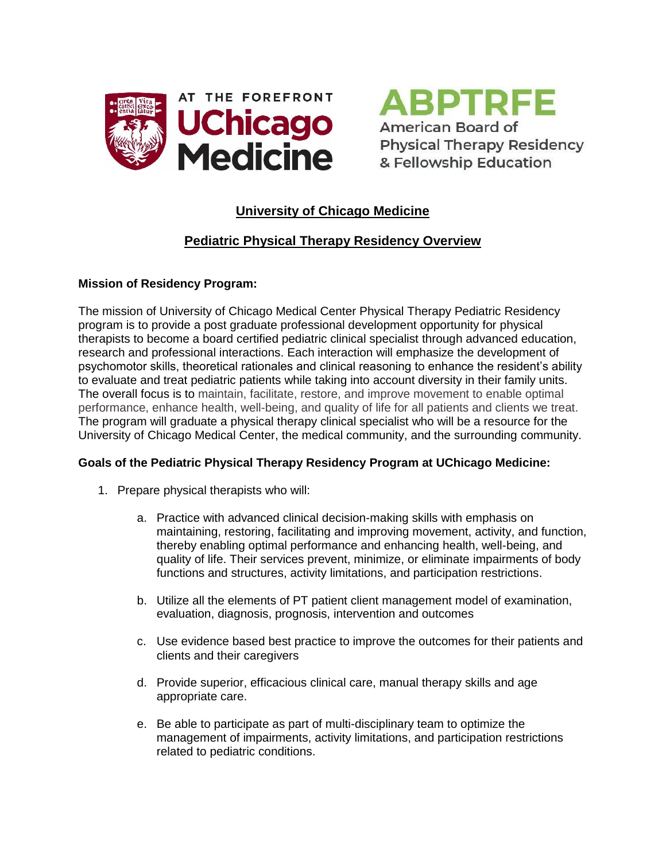



# **University of Chicago Medicine**

# **Pediatric Physical Therapy Residency Overview**

#### **Mission of Residency Program:**

The mission of University of Chicago Medical Center Physical Therapy Pediatric Residency program is to provide a post graduate professional development opportunity for physical therapists to become a board certified pediatric clinical specialist through advanced education, research and professional interactions. Each interaction will emphasize the development of psychomotor skills, theoretical rationales and clinical reasoning to enhance the resident's ability to evaluate and treat pediatric patients while taking into account diversity in their family units. The overall focus is to maintain, facilitate, restore, and improve movement to enable optimal performance, enhance health, well-being, and quality of life for all patients and clients we treat. The program will graduate a physical therapy clinical specialist who will be a resource for the University of Chicago Medical Center, the medical community, and the surrounding community.

#### **Goals of the Pediatric Physical Therapy Residency Program at UChicago Medicine:**

- 1. Prepare physical therapists who will:
	- a. Practice with advanced clinical decision-making skills with emphasis on maintaining, restoring, facilitating and improving movement, activity, and function, thereby enabling optimal performance and enhancing health, well-being, and quality of life. Their services prevent, minimize, or eliminate [impairments of body](http://apps.who.int/classifications/icfbrowser/)  [functions and structures, activity limitations, and participation restrictions.](http://apps.who.int/classifications/icfbrowser/)
	- b. Utilize all the elements of PT patient client management model of examination, evaluation, diagnosis, prognosis, intervention and outcomes
	- c. Use evidence based best practice to improve the outcomes for their patients and clients and their caregivers
	- d. Provide superior, efficacious clinical care, manual therapy skills and age appropriate care.
	- e. Be able to participate as part of multi-disciplinary team to optimize the management of impairments, activity limitations, and participation restrictions related to pediatric conditions.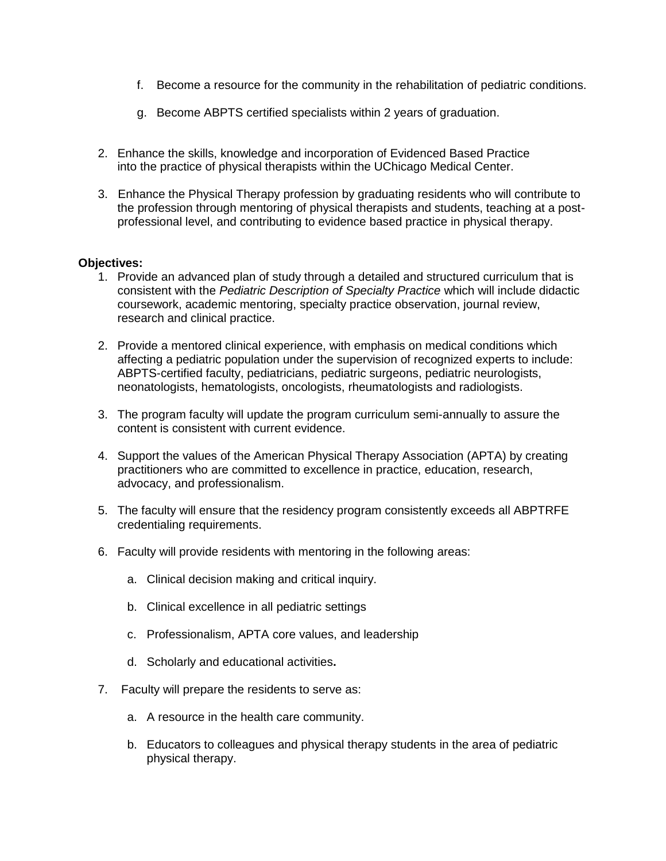- f. Become a resource for the community in the rehabilitation of pediatric conditions.
- g. Become ABPTS certified specialists within 2 years of graduation.
- 2. Enhance the skills, knowledge and incorporation of Evidenced Based Practice into the practice of physical therapists within the UChicago Medical Center.
- 3. Enhance the Physical Therapy profession by graduating residents who will contribute to the profession through mentoring of physical therapists and students, teaching at a postprofessional level, and contributing to evidence based practice in physical therapy.

#### **Objectives:**

- 1. Provide an advanced plan of study through a detailed and structured curriculum that is consistent with the *Pediatric Description of Specialty Practice* which will include didactic coursework, academic mentoring, specialty practice observation, journal review, research and clinical practice.
- 2. Provide a mentored clinical experience, with emphasis on medical conditions which affecting a pediatric population under the supervision of recognized experts to include: ABPTS-certified faculty, pediatricians, pediatric surgeons, pediatric neurologists, neonatologists, hematologists, oncologists, rheumatologists and radiologists.
- 3. The program faculty will update the program curriculum semi-annually to assure the content is consistent with current evidence.
- 4. Support the values of the American Physical Therapy Association (APTA) by creating practitioners who are committed to excellence in practice, education, research, advocacy, and professionalism.
- 5. The faculty will ensure that the residency program consistently exceeds all ABPTRFE credentialing requirements.
- 6. Faculty will provide residents with mentoring in the following areas:
	- a. Clinical decision making and critical inquiry.
	- b. Clinical excellence in all pediatric settings
	- c. Professionalism, APTA core values, and leadership
	- d. Scholarly and educational activities**.**
- 7. Faculty will prepare the residents to serve as:
	- a. A resource in the health care community.
	- b. Educators to colleagues and physical therapy students in the area of pediatric physical therapy.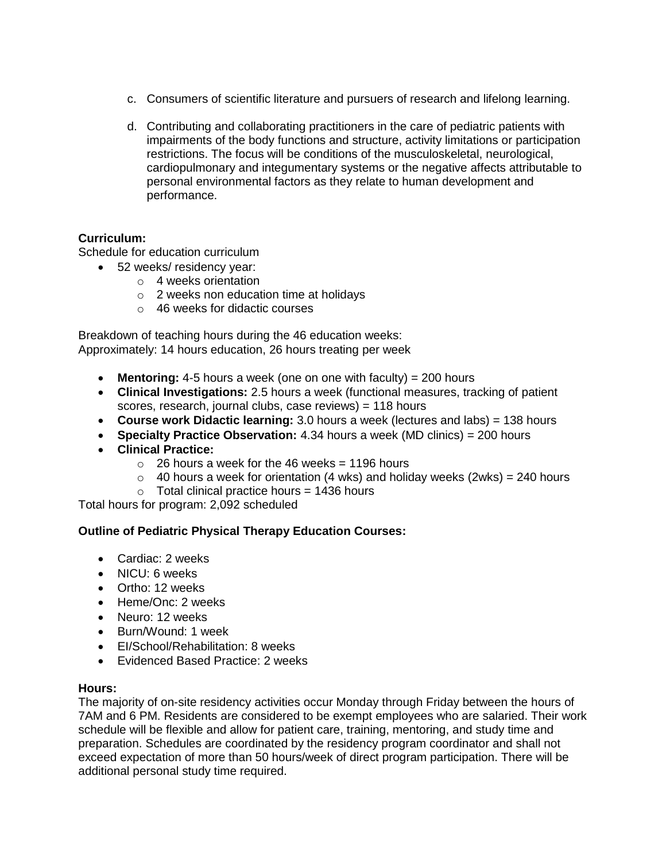- c. Consumers of scientific literature and pursuers of research and lifelong learning.
- d. Contributing and collaborating practitioners in the care of pediatric patients with impairments of the body functions and structure, activity limitations or participation restrictions. The focus will be conditions of the musculoskeletal, neurological, cardiopulmonary and integumentary systems or the negative affects attributable to personal environmental factors as they relate to human development and performance.

### **Curriculum:**

Schedule for education curriculum

- 52 weeks/ residency year:
	- o 4 weeks orientation
		- o 2 weeks non education time at holidays
		- o 46 weeks for didactic courses

Breakdown of teaching hours during the 46 education weeks: Approximately: 14 hours education, 26 hours treating per week

- **Mentoring:** 4-5 hours a week (one on one with faculty) = 200 hours
- **Clinical Investigations:** 2.5 hours a week (functional measures, tracking of patient scores, research, journal clubs, case reviews) = 118 hours
- **Course work Didactic learning:** 3.0 hours a week (lectures and labs) = 138 hours
- **Specialty Practice Observation:** 4.34 hours a week (MD clinics) = 200 hours
- **Clinical Practice:** 
	- $\circ$  26 hours a week for the 46 weeks = 1196 hours
	- $\circ$  40 hours a week for orientation (4 wks) and holiday weeks (2wks) = 240 hours
	- $\circ$  Total clinical practice hours = 1436 hours

Total hours for program: 2,092 scheduled

## **Outline of Pediatric Physical Therapy Education Courses:**

- Cardiac: 2 weeks
- NICU: 6 weeks
- Ortho: 12 weeks
- Heme/Onc: 2 weeks
- Neuro: 12 weeks
- Burn/Wound: 1 week
- EI/School/Rehabilitation: 8 weeks
- Fyidenced Based Practice: 2 weeks

#### **Hours:**

The majority of on-site residency activities occur Monday through Friday between the hours of 7AM and 6 PM. Residents are considered to be exempt employees who are salaried. Their work schedule will be flexible and allow for patient care, training, mentoring, and study time and preparation. Schedules are coordinated by the residency program coordinator and shall not exceed expectation of more than 50 hours/week of direct program participation. There will be additional personal study time required.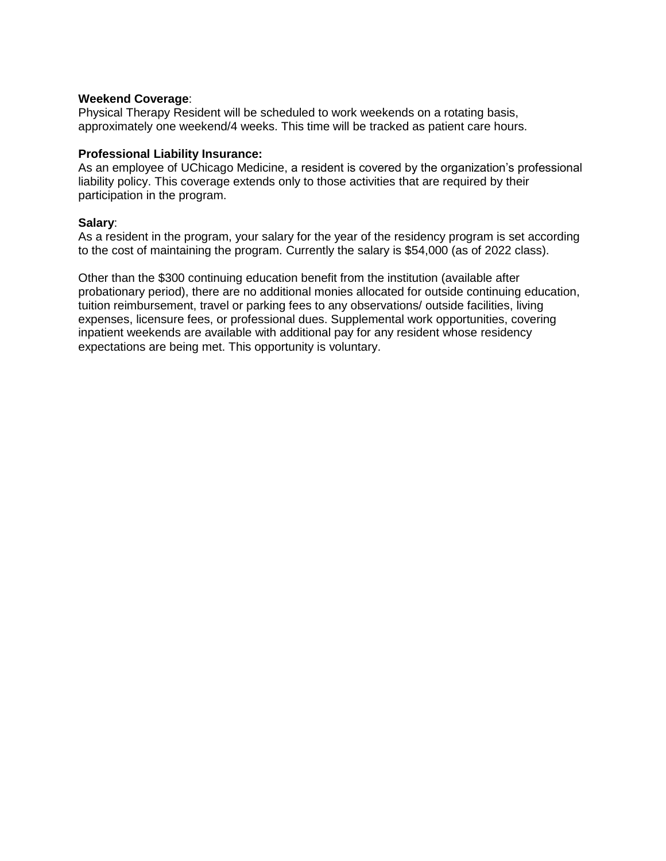#### **Weekend Coverage**:

Physical Therapy Resident will be scheduled to work weekends on a rotating basis, approximately one weekend/4 weeks. This time will be tracked as patient care hours.

#### **Professional Liability Insurance:**

As an employee of UChicago Medicine, a resident is covered by the organization's professional liability policy. This coverage extends only to those activities that are required by their participation in the program.

#### **Salary**:

As a resident in the program, your salary for the year of the residency program is set according to the cost of maintaining the program. Currently the salary is \$54,000 (as of 2022 class).

Other than the \$300 continuing education benefit from the institution (available after probationary period), there are no additional monies allocated for outside continuing education, tuition reimbursement, travel or parking fees to any observations/ outside facilities, living expenses, licensure fees, or professional dues. Supplemental work opportunities, covering inpatient weekends are available with additional pay for any resident whose residency expectations are being met. This opportunity is voluntary.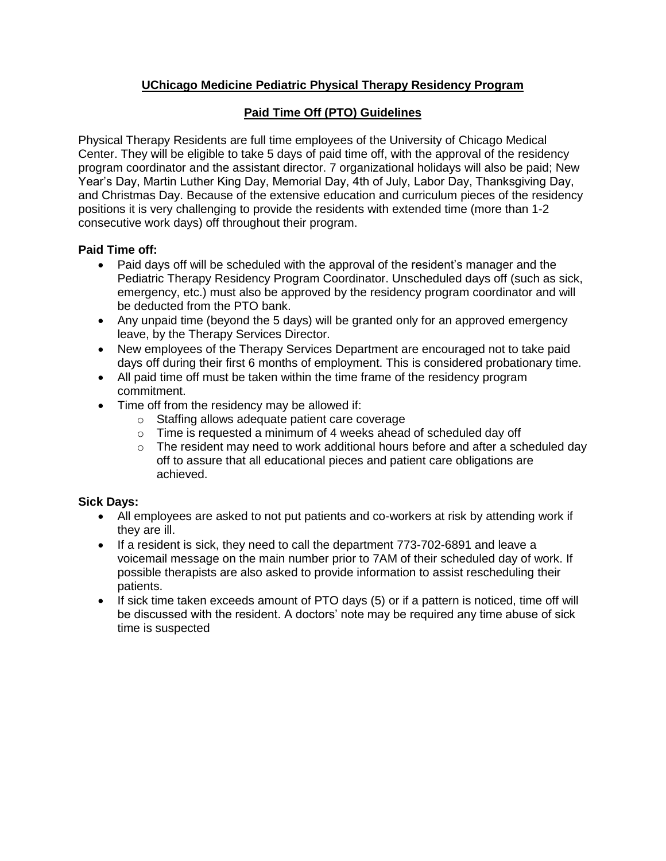# **UChicago Medicine Pediatric Physical Therapy Residency Program**

# **Paid Time Off (PTO) Guidelines**

Physical Therapy Residents are full time employees of the University of Chicago Medical Center. They will be eligible to take 5 days of paid time off, with the approval of the residency program coordinator and the assistant director. 7 organizational holidays will also be paid; New Year's Day, Martin Luther King Day, Memorial Day, 4th of July, Labor Day, Thanksgiving Day, and Christmas Day. Because of the extensive education and curriculum pieces of the residency positions it is very challenging to provide the residents with extended time (more than 1-2 consecutive work days) off throughout their program.

### **Paid Time off:**

- Paid days off will be scheduled with the approval of the resident's manager and the Pediatric Therapy Residency Program Coordinator. Unscheduled days off (such as sick, emergency, etc.) must also be approved by the residency program coordinator and will be deducted from the PTO bank.
- Any unpaid time (beyond the 5 days) will be granted only for an approved emergency leave, by the Therapy Services Director.
- New employees of the Therapy Services Department are encouraged not to take paid days off during their first 6 months of employment. This is considered probationary time.
- All paid time off must be taken within the time frame of the residency program commitment.
- Time off from the residency may be allowed if:
	- o Staffing allows adequate patient care coverage
	- $\circ$  Time is requested a minimum of 4 weeks ahead of scheduled day off
	- $\circ$  The resident may need to work additional hours before and after a scheduled day off to assure that all educational pieces and patient care obligations are achieved.

#### **Sick Days:**

- All employees are asked to not put patients and co-workers at risk by attending work if they are ill.
- If a resident is sick, they need to call the department 773-702-6891 and leave a voicemail message on the main number prior to 7AM of their scheduled day of work. If possible therapists are also asked to provide information to assist rescheduling their patients.
- If sick time taken exceeds amount of PTO days (5) or if a pattern is noticed, time off will be discussed with the resident. A doctors' note may be required any time abuse of sick time is suspected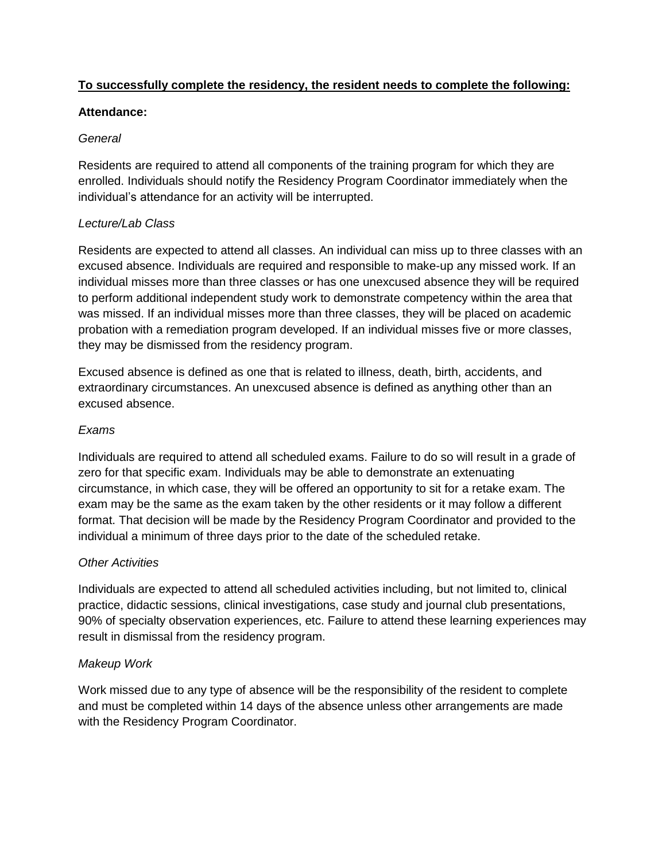## **To successfully complete the residency, the resident needs to complete the following:**

### **Attendance:**

## *General*

Residents are required to attend all components of the training program for which they are enrolled. Individuals should notify the Residency Program Coordinator immediately when the individual's attendance for an activity will be interrupted.

## *Lecture/Lab Class*

Residents are expected to attend all classes. An individual can miss up to three classes with an excused absence. Individuals are required and responsible to make-up any missed work. If an individual misses more than three classes or has one unexcused absence they will be required to perform additional independent study work to demonstrate competency within the area that was missed. If an individual misses more than three classes, they will be placed on academic probation with a remediation program developed. If an individual misses five or more classes, they may be dismissed from the residency program.

Excused absence is defined as one that is related to illness, death, birth, accidents, and extraordinary circumstances. An unexcused absence is defined as anything other than an excused absence.

## *Exams*

Individuals are required to attend all scheduled exams. Failure to do so will result in a grade of zero for that specific exam. Individuals may be able to demonstrate an extenuating circumstance, in which case, they will be offered an opportunity to sit for a retake exam. The exam may be the same as the exam taken by the other residents or it may follow a different format. That decision will be made by the Residency Program Coordinator and provided to the individual a minimum of three days prior to the date of the scheduled retake.

## *Other Activities*

Individuals are expected to attend all scheduled activities including, but not limited to, clinical practice, didactic sessions, clinical investigations, case study and journal club presentations, 90% of specialty observation experiences, etc. Failure to attend these learning experiences may result in dismissal from the residency program.

## *Makeup Work*

Work missed due to any type of absence will be the responsibility of the resident to complete and must be completed within 14 days of the absence unless other arrangements are made with the Residency Program Coordinator.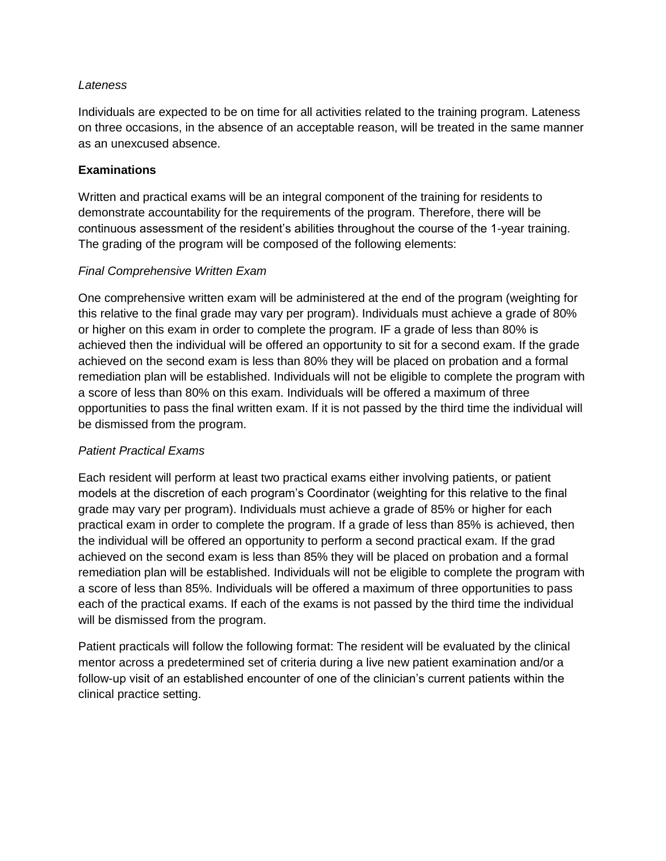#### *Lateness*

Individuals are expected to be on time for all activities related to the training program. Lateness on three occasions, in the absence of an acceptable reason, will be treated in the same manner as an unexcused absence.

### **Examinations**

Written and practical exams will be an integral component of the training for residents to demonstrate accountability for the requirements of the program. Therefore, there will be continuous assessment of the resident's abilities throughout the course of the 1-year training. The grading of the program will be composed of the following elements:

### *Final Comprehensive Written Exam*

One comprehensive written exam will be administered at the end of the program (weighting for this relative to the final grade may vary per program). Individuals must achieve a grade of 80% or higher on this exam in order to complete the program. IF a grade of less than 80% is achieved then the individual will be offered an opportunity to sit for a second exam. If the grade achieved on the second exam is less than 80% they will be placed on probation and a formal remediation plan will be established. Individuals will not be eligible to complete the program with a score of less than 80% on this exam. Individuals will be offered a maximum of three opportunities to pass the final written exam. If it is not passed by the third time the individual will be dismissed from the program.

#### *Patient Practical Exams*

Each resident will perform at least two practical exams either involving patients, or patient models at the discretion of each program's Coordinator (weighting for this relative to the final grade may vary per program). Individuals must achieve a grade of 85% or higher for each practical exam in order to complete the program. If a grade of less than 85% is achieved, then the individual will be offered an opportunity to perform a second practical exam. If the grad achieved on the second exam is less than 85% they will be placed on probation and a formal remediation plan will be established. Individuals will not be eligible to complete the program with a score of less than 85%. Individuals will be offered a maximum of three opportunities to pass each of the practical exams. If each of the exams is not passed by the third time the individual will be dismissed from the program.

Patient practicals will follow the following format: The resident will be evaluated by the clinical mentor across a predetermined set of criteria during a live new patient examination and/or a follow-up visit of an established encounter of one of the clinician's current patients within the clinical practice setting.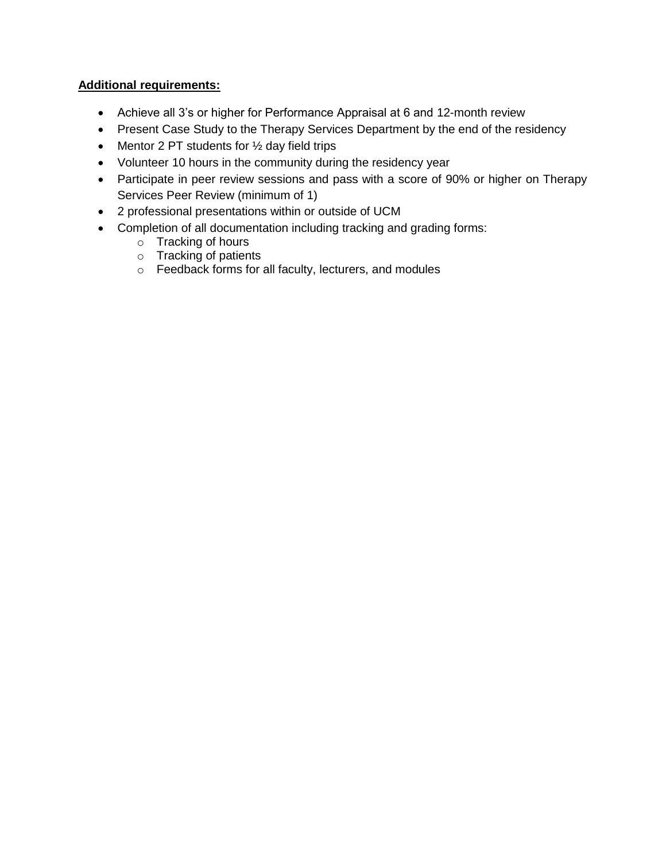## **Additional requirements:**

- Achieve all 3's or higher for Performance Appraisal at 6 and 12-month review
- Present Case Study to the Therapy Services Department by the end of the residency
- Mentor 2 PT students for  $\frac{1}{2}$  day field trips
- Volunteer 10 hours in the community during the residency year
- Participate in peer review sessions and pass with a score of 90% or higher on Therapy Services Peer Review (minimum of 1)
- 2 professional presentations within or outside of UCM
- Completion of all documentation including tracking and grading forms:
	- o Tracking of hours
	- o Tracking of patients
	- o Feedback forms for all faculty, lecturers, and modules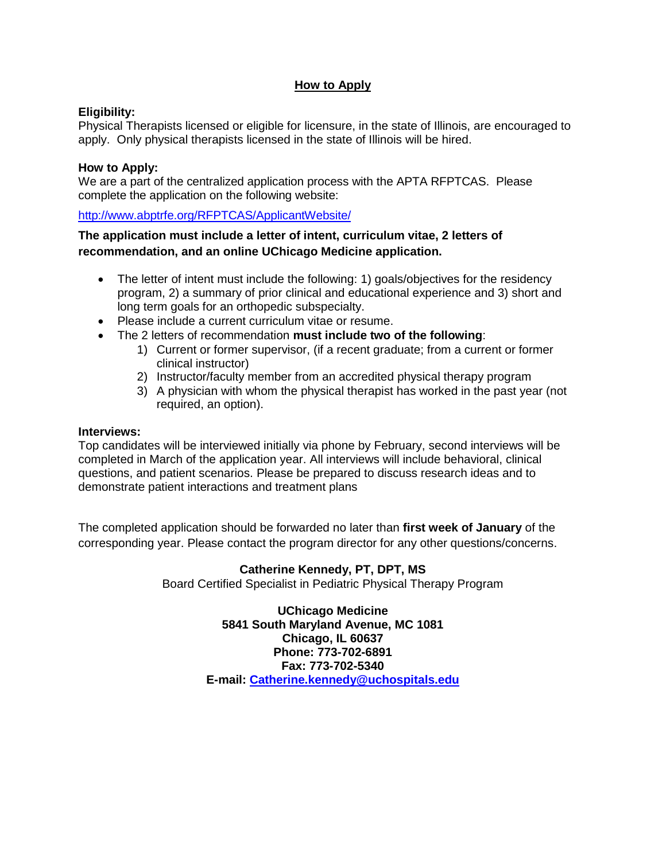### **How to Apply**

#### **Eligibility:**

Physical Therapists licensed or eligible for licensure, in the state of Illinois, are encouraged to apply. Only physical therapists licensed in the state of Illinois will be hired.

#### **How to Apply:**

We are a part of the centralized application process with the APTA RFPTCAS. Please complete the application on the following website:

[http://www.abptrfe.org/RFPTCAS/ApplicantWebsit](http://www.abptrfe.org/RFPTCAS/ApplicantWebsite/)e/

### **The application must include a letter of intent, curriculum vitae, 2 letters of recommendation, and an online UChicago Medicine application.**

- The letter of intent must include the following: 1) goals/objectives for the residency program, 2) a summary of prior clinical and educational experience and 3) short and long term goals for an orthopedic subspecialty.
- Please include a current curriculum vitae or resume.
- The 2 letters of recommendation **must include two of the following**:
	- 1) Current or former supervisor, (if a recent graduate; from a current or former clinical instructor)
	- 2) Instructor/faculty member from an accredited physical therapy program
	- 3) A physician with whom the physical therapist has worked in the past year (not required, an option).

#### **Interviews:**

Top candidates will be interviewed initially via phone by February, second interviews will be completed in March of the application year. All interviews will include behavioral, clinical questions, and patient scenarios. Please be prepared to discuss research ideas and to demonstrate patient interactions and treatment plans

The completed application should be forwarded no later than **first week of January** of the corresponding year. Please contact the program director for any other questions/concerns.

#### **Catherine Kennedy, PT, DPT, MS**

Board Certified Specialist in Pediatric Physical Therapy Program

**UChicago Medicine 5841 South Maryland Avenue, MC 1081 Chicago, IL 60637 Phone: 773-702-6891 Fax: 773-702-5340 E-mail: [Catherine.kennedy@uchospitals.edu](mailto:Catherine.kennedy@uchospitals.edu)**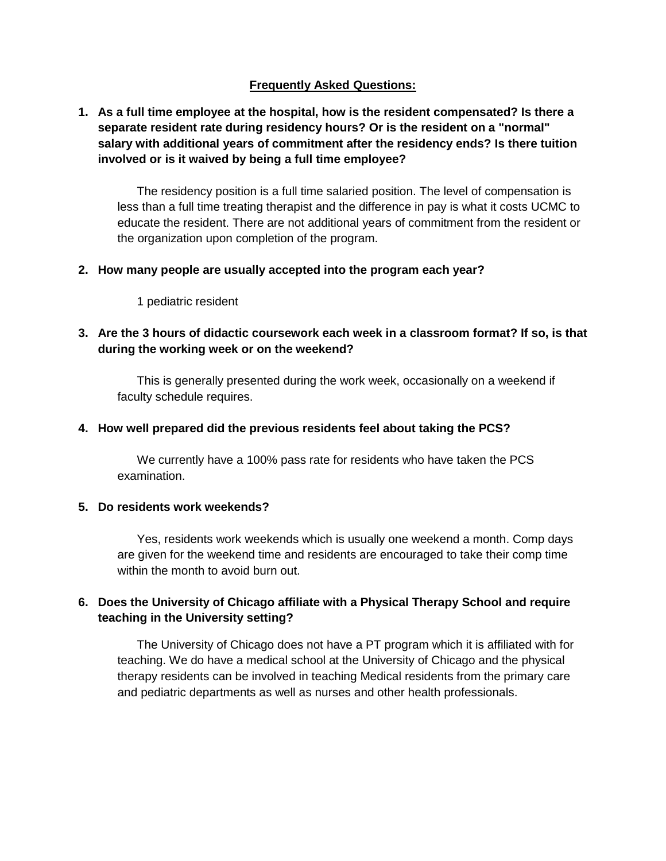### **Frequently Asked Questions:**

### **1. As a full time employee at the hospital, how is the resident compensated? Is there a separate resident rate during residency hours? Or is the resident on a "normal" salary with additional years of commitment after the residency ends? Is there tuition involved or is it waived by being a full time employee?**

The residency position is a full time salaried position. The level of compensation is less than a full time treating therapist and the difference in pay is what it costs UCMC to educate the resident. There are not additional years of commitment from the resident or the organization upon completion of the program.

#### **2. How many people are usually accepted into the program each year?**

1 pediatric resident

### **3. Are the 3 hours of didactic coursework each week in a classroom format? If so, is that during the working week or on the weekend?**

This is generally presented during the work week, occasionally on a weekend if faculty schedule requires.

#### **4. How well prepared did the previous residents feel about taking the PCS?**

We currently have a 100% pass rate for residents who have taken the PCS examination.

#### **5. Do residents work weekends?**

Yes, residents work weekends which is usually one weekend a month. Comp days are given for the weekend time and residents are encouraged to take their comp time within the month to avoid burn out.

## **6. Does the University of Chicago affiliate with a Physical Therapy School and require teaching in the University setting?**

The University of Chicago does not have a PT program which it is affiliated with for teaching. We do have a medical school at the University of Chicago and the physical therapy residents can be involved in teaching Medical residents from the primary care and pediatric departments as well as nurses and other health professionals.